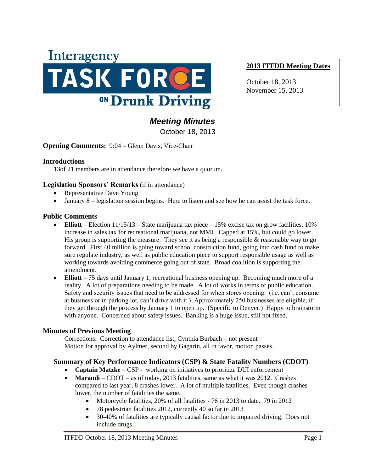

# **2013 ITFDD Meeting Dates**

October 18, 2013 November 15, 2013

# *Meeting Minutes*

October 18, 2013

**Opening Comments:** 9:04 – Glenn Davis, Vice-Chair

#### **Introductions**

13of 21 members are in attendance therefore we have a quorum.

#### **Legislation Sponsors' Remarks** (if in attendance)

- Representative Dave Young
- January 8 legislation session begins. Here to listen and see how he can assist the task force.

#### **Public Comments**

- **Elliott** Election  $11/15/13$  State marijuana tax piece 15% excise tax on grow facilities, 10% increase in sales tax for recreational marijuana, not MMJ. Capped at 15%, but could go lower. His group is supporting the measure. They see it as being a responsible  $&$  reasonable way to go forward. First 40 million is going toward school construction fund, going into cash fund to make sure regulate industry, as well as public education piece to support responsible usage as well as working towards avoiding commerce going out of state. Broad coalition is supporting the amendment.
- **Elliott** 75 days until January 1, recreational business opening up. Becoming much more of a reality. A lot of preparations needing to be made. A lot of works in terms of public education. Safety and security issues that need to be addressed for when stores opening. (i.e. can't consume at business or in parking lot, can't drive with it.) Approximately 250 businesses are eligible, if they get through the process by January 1 to open up. (Specific to Denver.) Happy to brainstorm with anyone. Concerned about safety issues. Banking is a huge issue, still not fixed.

## **Minutes of Previous Meeting**

Corrections: Correction to attendance list, Cynthia Burbach – not present Motion for approval by Aylmer, second by Gagarin, all in favor, motion passes.

## **Summary of Key Performance Indicators (CSP) & State Fatality Numbers (CDOT)**

- **Captain Matzke** CSP working on initiatives to prioritize DUI enforcement
- **Marandi** CDOT as of today, 2013 fatalities, same as what it was 2012. Crashes compared to last year, 8 crashes lower. A lot of multiple fatalities. Even though crashes lower, the number of fatalities the same.
	- Motorcycle fatalities, 20% of all fatalities 76 in 2013 to date. 79 in 2012
	- 78 pedestrian fatalities 2012, currently 40 so far in 2013
	- 30-40% of fatalities are typically causal factor due to impaired driving. Does not include drugs.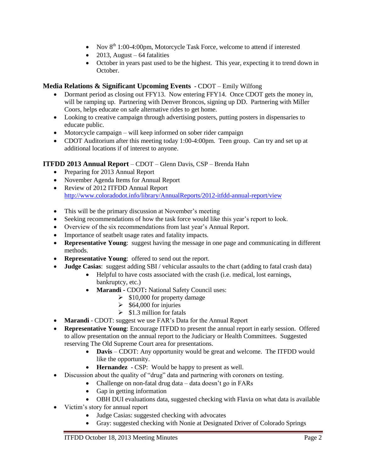- Nov  $8<sup>th</sup> 1:00-4:00$ pm, Motorcycle Task Force, welcome to attend if interested
- $\bullet$  2013, August 64 fatalities
- October in years past used to be the highest. This year, expecting it to trend down in October.

# **Media Relations & Significant Upcoming Events** - CDOT – Emily Wilfong

- Dormant period as closing out FFY13. Now entering FFY14. Once CDOT gets the money in, will be ramping up. Partnering with Denver Broncos, signing up DD. Partnering with Miller Coors, helps educate on safe alternative rides to get home.
- Looking to creative campaign through advertising posters, putting posters in dispensaries to educate public.
- Motorcycle campaign will keep informed on sober rider campaign
- CDOT Auditorium after this meeting today 1:00-4:00pm. Teen group. Can try and set up at additional locations if of interest to anyone.

## **ITFDD 2013 Annual Report** – CDOT – Glenn Davis, CSP – Brenda Hahn

- Preparing for 2013 Annual Report
- November Agenda Items for Annual Report
- Review of 2012 ITFDD Annual Report <http://www.coloradodot.info/library/AnnualReports/2012-itfdd-annual-report/view>
- This will be the primary discussion at November's meeting
- Seeking recommendations of how the task force would like this year's report to look.
- Overview of the six recommendations from last year's Annual Report.
- Importance of seatbelt usage rates and fatality impacts.
- **Representative Young**: suggest having the message in one page and communicating in different methods.
- **Representative Young**: offered to send out the report.
- **Judge Casias**: suggest adding SBI / vehicular assaults to the chart (adding to fatal crash data)
	- Helpful to have costs associated with the crash (i.e. medical, lost earnings, bankruptcy, etc.)
	- **Marandi -** CDOT**:** National Safety Council uses:
		- $\geq$  \$10,000 for property damage
		- $\geq$  \$64,000 for injuries
		- $\geq$  \$1.3 million for fatals
- **Marandi** CDOT: suggest we use FAR's Data for the Annual Report
- **Representative Young**: Encourage ITFDD to present the annual report in early session. Offered to allow presentation on the annual report to the Judiciary or Health Committees. Suggested reserving The Old Supreme Court area for presentations.
	- **Davis** CDOT: Any opportunity would be great and welcome. The ITFDD would like the opportunity.
	- **Hernandez**  CSP: Would be happy to present as well.
- Discussion about the quality of "drug" data and partnering with coroners on testing.
	- Challenge on non-fatal drug data data doesn't go in FARs
	- Gap in getting information
	- OBH DUI evaluations data, suggested checking with Flavia on what data is available
- Victim's story for annual report
	- Judge Casias: suggested checking with advocates
	- Gray: suggested checking with Nonie at Designated Driver of Colorado Springs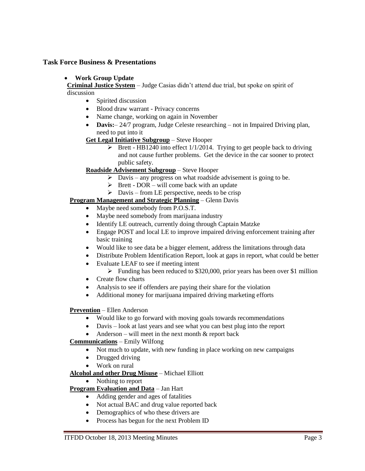## **Task Force Business & Presentations**

## **Work Group Update**

**Criminal Justice System** – Judge Casias didn't attend due trial, but spoke on spirit of discussion

- Spirited discussion
- Blood draw warrant Privacy concerns
- Name change, working on again in November
- **Davis:**  $24/7$  program, Judge Celeste researching not in Impaired Driving plan, need to put into it
- **Get Legal Initiative Subgroup** Steve Hooper
	- $\triangleright$  Brett HB1240 into effect 1/1/2014. Trying to get people back to driving and not cause further problems. Get the device in the car sooner to protect public safety.

## **Roadside Advisement Subgroup** – Steve Hooper

- $\triangleright$  Davis any progress on what roadside advisement is going to be.
- $\triangleright$  Brett DOR will come back with an update
- $\triangleright$  Davis from LE perspective, needs to be crisp

#### **Program Management and Strategic Planning** – Glenn Davis

- Maybe need somebody from P.O.S.T.
- Maybe need somebody from marijuana industry
- Identify LE outreach, currently doing through Captain Matzke
- Engage POST and local LE to improve impaired driving enforcement training after basic training
- Would like to see data be a bigger element, address the limitations through data
- Distribute Problem Identification Report, look at gaps in report, what could be better
- Evaluate LEAF to see if meeting intent
	- $\triangleright$  Funding has been reduced to \$320,000, prior years has been over \$1 million
- Create flow charts
- Analysis to see if offenders are paying their share for the violation
- Additional money for marijuana impaired driving marketing efforts

#### **Prevention** – Ellen Anderson

- Would like to go forward with moving goals towards recommendations
- Davis look at last years and see what you can best plug into the report
- Anderson will meet in the next month  $&$  report back

## **Communications** – Emily Wilfong

- Not much to update, with new funding in place working on new campaigns
- Drugged driving
- Work on rural

## **Alcohol and other Drug Misuse** – Michael Elliott

• Nothing to report

## **Program Evaluation and Data** – Jan Hart

- Adding gender and ages of fatalities
- Not actual BAC and drug value reported back
- Demographics of who these drivers are
- Process has begun for the next Problem ID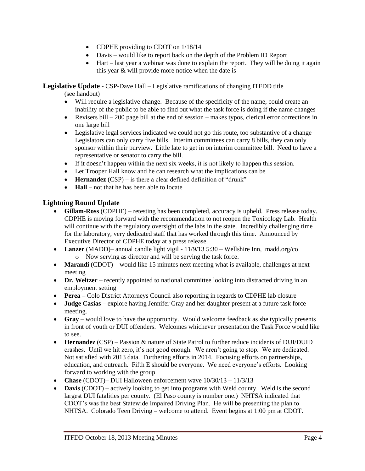- CDPHE providing to CDOT on  $1/18/14$
- Davis would like to report back on the depth of the Problem ID Report
- $\bullet$  Hart last year a webinar was done to explain the report. They will be doing it again this year & will provide more notice when the date is

**Legislative Update -** CSP-Dave Hall – Legislative ramifications of changing ITFDD title

(see handout)

- Will require a legislative change. Because of the specificity of the name, could create an inability of the public to be able to find out what the task force is doing if the name changes
- Evisers bill 200 page bill at the end of session makes typos, clerical error corrections in one large bill
- Legislative legal services indicated we could not go this route, too substantive of a change Legislators can only carry five bills. Interim committees can carry 8 bills, they can only sponsor within their purview. Little late to get in on interim committee bill. Need to have a representative or senator to carry the bill.
- If it doesn't happen within the next six weeks, it is not likely to happen this session.
- Let Trooper Hall know and he can research what the implications can be
- **Hernandez** (CSP) is there a clear defined definition of "drunk"
- **Hall** not that he has been able to locate

# **Lightning Round Update**

- **Gillam-Ross** (CDPHE) retesting has been completed, accuracy is upheld. Press release today. CDPHE is moving forward with the recommendation to not reopen the Toxicology Lab. Health will continue with the regulatory oversight of the labs in the state. Incredibly challenging time for the laboratory, very dedicated staff that has worked through this time. Announced by Executive Director of CDPHE today at a press release.
- Lanzer (MADD)– annual candle light vigil 11/9/13 5:30 Wellshire Inn, madd.org/co o Now serving as director and will be serving the task force.
- **Marandi** (CDOT) would like 15 minutes next meeting what is available, challenges at next meeting
- **Dr. Weltzer** recently appointed to national committee looking into distracted driving in an employment setting
- **Perea** Colo District Attorneys Council also reporting in regards to CDPHE lab closure
- **Judge Casias** explore having Jennifer Gray and her daughter present at a future task force meeting.
- **Gray** would love to have the opportunity. Would welcome feedback as she typically presents in front of youth or DUI offenders. Welcomes whichever presentation the Task Force would like to see.
- **Hernandez** (CSP) Passion & nature of State Patrol to further reduce incidents of DUI/DUID crashes. Until we hit zero, it's not good enough. We aren't going to stop. We are dedicated. Not satisfied with 2013 data. Furthering efforts in 2014. Focusing efforts on partnerships, education, and outreach. Fifth E should be everyone. We need everyone's efforts. Looking forward to working with the group
- **Chase** (CDOT)– DUI Halloween enforcement wave 10/30/13 11/3/13
- **Davis** (CDOT) actively looking to get into programs with Weld county. Weld is the second largest DUI fatalities per county. (El Paso county is number one.) NHTSA indicated that CDOT's was the best Statewide Impaired Driving Plan. He will be presenting the plan to NHTSA. Colorado Teen Driving – welcome to attend. Event begins at 1:00 pm at CDOT.